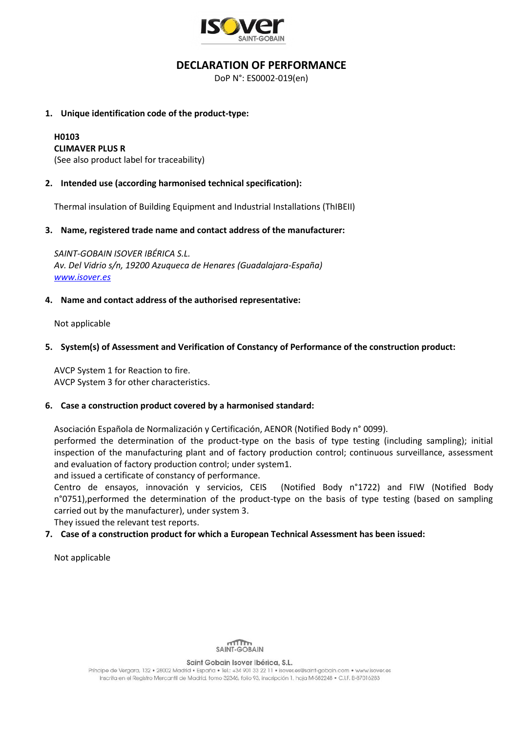

## **DECLARATION OF PERFORMANCE**

DoP N°: ES0002-019(en)

#### **1. Unique identification code of the product-type:**

# **H0103**

#### **CLIMAVER PLUS R**

(See also product label for traceability)

#### **2. Intended use (according harmonised technical specification):**

Thermal insulation of Building Equipment and Industrial Installations (ThIBEII)

#### **3. Name, registered trade name and contact address of the manufacturer:**

*SAINT-GOBAIN ISOVER IBÉRICA S.L. Av. Del Vidrio s/n, 19200 Azuqueca de Henares (Guadalajara-España) [www.isover.es](http://www.isover.es/)*

#### **4. Name and contact address of the authorised representative:**

Not applicable

#### **5. System(s) of Assessment and Verification of Constancy of Performance of the construction product:**

AVCP System 1 for Reaction to fire. AVCP System 3 for other characteristics.

#### **6. Case a construction product covered by a harmonised standard:**

Asociación Española de Normalización y Certificación, AENOR (Notified Body n° 0099).

performed the determination of the product-type on the basis of type testing (including sampling); initial inspection of the manufacturing plant and of factory production control; continuous surveillance, assessment and evaluation of factory production control; under system1.

and issued a certificate of constancy of performance.

Centro de ensayos, innovación y servicios, CEIS (Notified Body n°1722) and FIW (Notified Body n°0751),performed the determination of the product-type on the basis of type testing (based on sampling carried out by the manufacturer), under system 3.

They issued the relevant test reports.

### **7. Case of a construction product for which a European Technical Assessment has been issued:**

Not applicable



Saint Gobain Isover Ibérica, S.L.

Príncipe de Vergara, 132 · 28002 Madrid · España · Tel.: +34 901 33 22 11 · isover.es@saint-aobain.com · www.isover.es Inscrita en el Registro Mercantil de Madrid, tomo 32346, folio 93, inscripción 1, hoja M-582248 · C.I.F. B-87016283